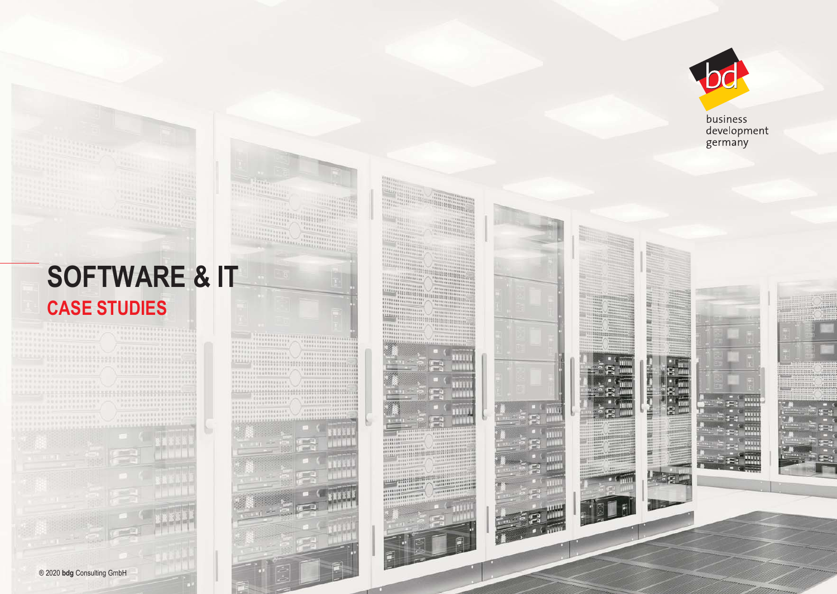

<u>e</u>ll I

E

business development<br>germany

# **SOFTWARE & IT CASE STUDIES**

> , pred  $\mathbb{T}$

annan 1

 $111111$ 

 $11111$ 

 $1133$ 

zanava

打印的

**GRAND** 

**SEERE** 

**PEA** 

E

E

 $\mathbb{H}^{\mathbb{H}}$  of  $\mathbb{R}$  $\sum_{i=1}^{n}$ 

**COMMUNISTIC** 

**BERR CLERK** E TYPE! THE U.S.

**FEREER** 



**COMPA**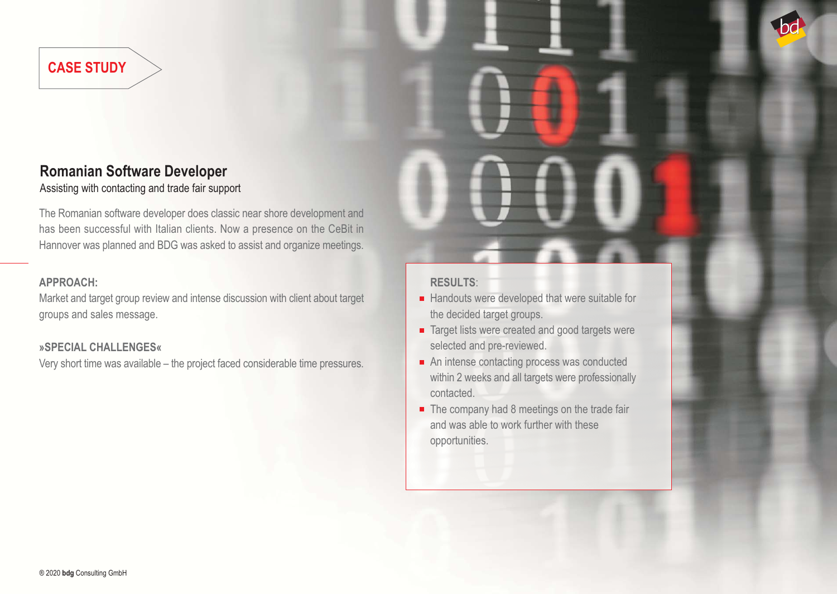### **Romanian Software Developer**

Assisting with contacting and trade fair support

The Romanian software developer does classic near shore development and has been successful with Italian clients. Now a presence on the CeBit in Hannover was planned and BDG was asked to assist and organize meetings.

#### **APPROACH:**

Market and target group review and intense discussion with client about target groups and sales message.

#### **»SPECIAL CHALLENGES«**

Very short time was available – the project faced considerable time pressures.

- $\blacksquare$  Handouts were developed that were suitable for the decided target groups.
- Target lists were created and good targets were selected and pre-reviewed.
- An intense contacting process was conducted within 2 weeks and all targets were professionally contacted.
- $\blacksquare$  The company had 8 meetings on the trade fair and was able to work further with these opportunities.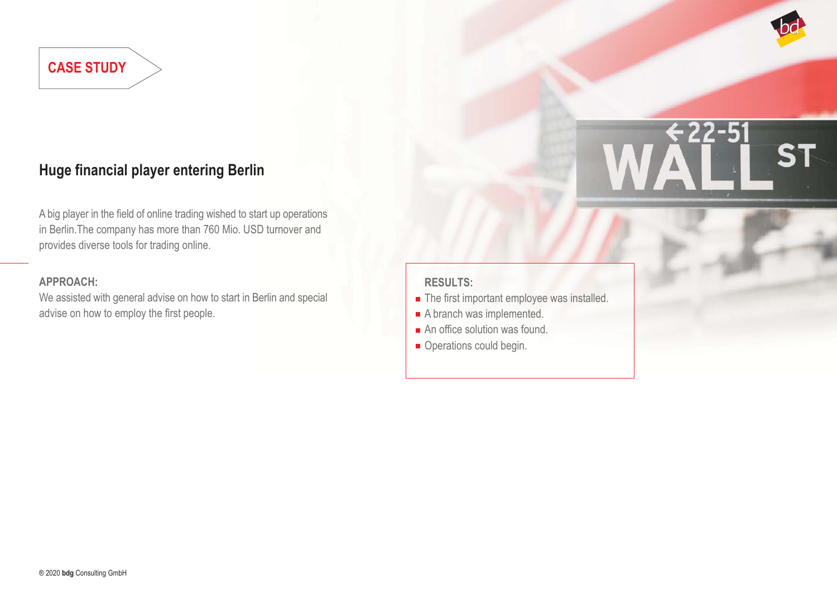

### **Huge financial player entering Berlin**

A big player in the field of online trading wished to start up operations in Berlin.The company has more than 760 Mio. USD turnover and provides diverse tools for trading online.

#### **APPROACH:**

We assisted with general advise on how to start in Berlin and special advise on how to employ the first people.

- The first important employee was installed.
- A branch was implemented.
- An office solution was found.
- Operations could begin.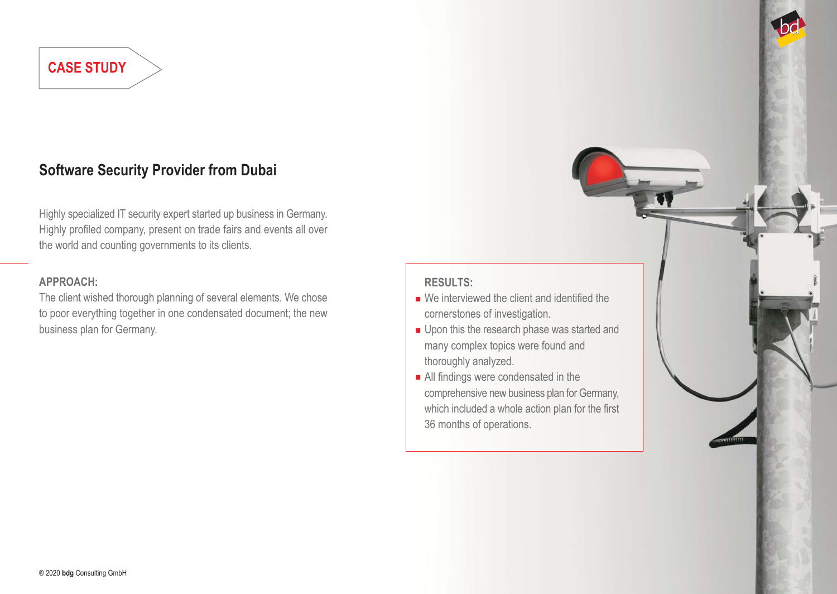### **Software Security Provider from Dubai**

Highly specialized IT security expert started up business in Germany. Highly profiled company, present on trade fairs and events all over the world and counting governments to its clients.

#### **APPROACH:**

The client wished thorough planning of several elements. We chose to poor everything together in one condensated document; the new business plan for Germany.

- We interviewed the client and identified the cornerstones of investigation.
- Upon this the research phase was started and many complex topics were found and thoroughly analyzed.
- All findings were condensated in the comprehensive new business plan for Germany, which included a whole action plan for the first 36 months of operations.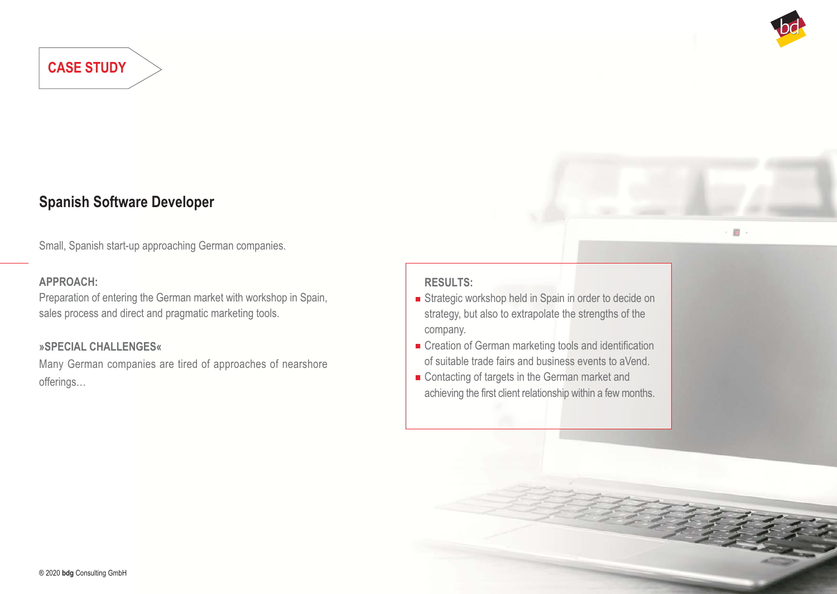

 $10 -$ 

### **Spanish Software Developer**

Small, Spanish start-up approaching German companies.

#### **APPROACH:**

Preparation of entering the German market with workshop in Spain, sales process and direct and pragmatic marketing tools.

#### **»SPECIAL CHALLENGES«**

Many German companies are tired of approaches of nearshore offerings…

- Strategic workshop held in Spain in order to decide on strategy, but also to extrapolate the strengths of the company.
- **Exercise Creation of German marketing tools and identification** of suitable trade fairs and business events to aVend.
- Contacting of targets in the German market and achieving the first client relationship within a few months.

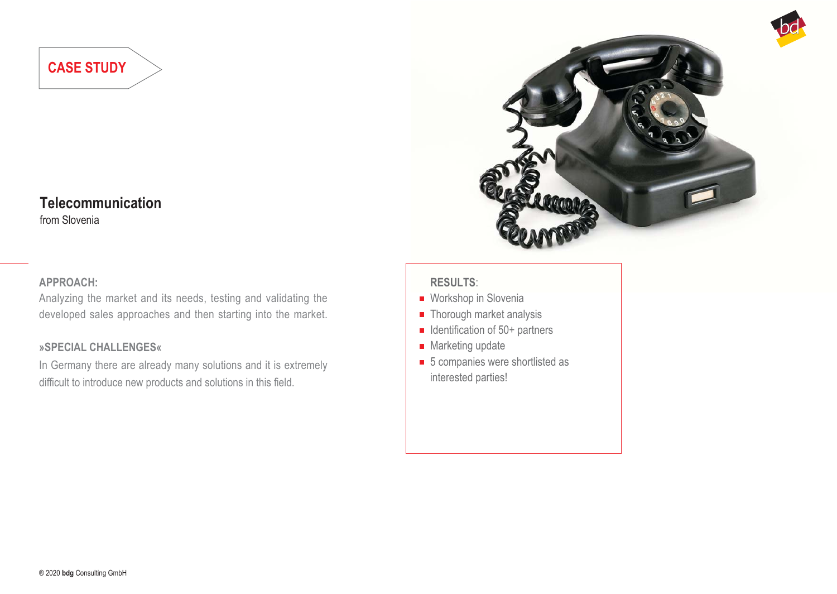### **Telecommunication**

from Slovenia

#### **APPROACH:**

Analyzing the market and its needs, testing and validating the developed sales approaches and then starting into the market.

#### **»SPECIAL CHALLENGES«**

In Germany there are already many solutions and it is extremely difficult to introduce new products and solutions in this field.



- Workshop in Slovenia
- Thorough market analysis
- $\blacksquare$  Identification of 50+ partners
- **Marketing update**
- 5 companies were shortlisted as interested parties!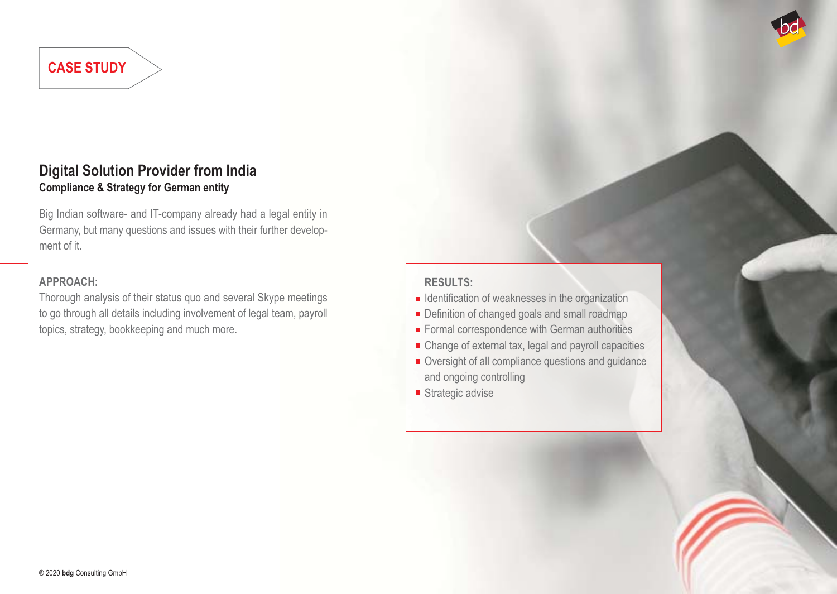### **Digital Solution Provider from India Compliance & Strategy for German entity**

Big Indian software- and IT-company already had a legal entity in Germany, but many questions and issues with their further development of it.

#### **APPROACH:**

Thorough analysis of their status quo and several Skype meetings to go through all details including involvement of legal team, payroll topics, strategy, bookkeeping and much more.

- $\blacksquare$  Identification of weaknesses in the organization
- Definition of changed goals and small roadmap
- Formal correspondence with German authorities
- Change of external tax, legal and payroll capacities
- Oversight of all compliance questions and guidance and ongoing controlling
- Strategic advise